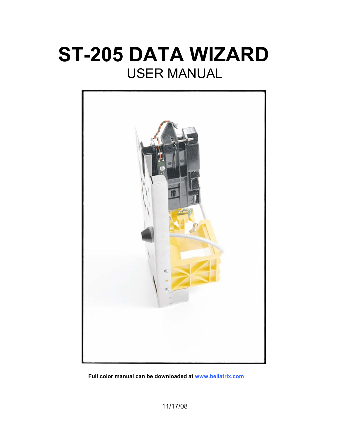# **ST-205 DATA WIZARD**  USER MANUAL



**Full color manual can be downloaded at www.bellatrix.com**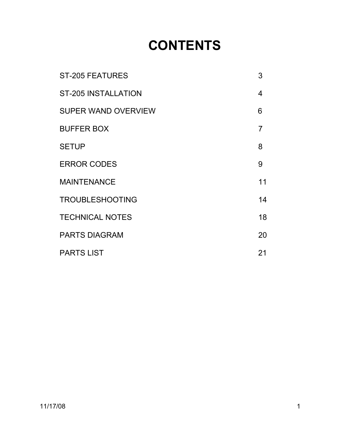# **CONTENTS**

| <b>ST-205 FEATURES</b>     | 3              |
|----------------------------|----------------|
| <b>ST-205 INSTALLATION</b> | 4              |
| <b>SUPER WAND OVERVIEW</b> | 6              |
| <b>BUFFER BOX</b>          | $\overline{7}$ |
| <b>SETUP</b>               | 8              |
| <b>ERROR CODES</b>         | 9              |
| <b>MAINTENANCE</b>         | 11             |
| <b>TROUBLESHOOTING</b>     | 14             |
| <b>TECHNICAL NOTES</b>     | 18             |
| <b>PARTS DIAGRAM</b>       | 20             |
| <b>PARTS LIST</b>          | 21             |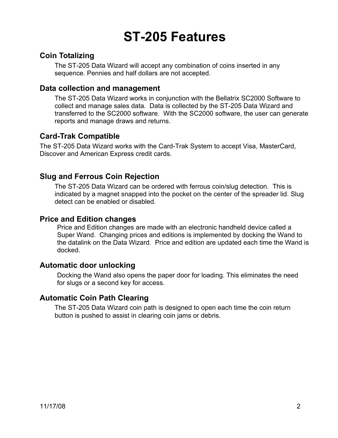# **ST-205 Features**

#### **Coin Totalizing**

The ST-205 Data Wizard will accept any combination of coins inserted in any sequence. Pennies and half dollars are not accepted.

#### **Data collection and management**

The ST-205 Data Wizard works in conjunction with the Bellatrix SC2000 Software to collect and manage sales data. Data is collected by the ST-205 Data Wizard and transferred to the SC2000 software. With the SC2000 software, the user can generate reports and manage draws and returns.

#### **Card-Trak Compatible**

The ST-205 Data Wizard works with the Card-Trak System to accept Visa, MasterCard, Discover and American Express credit cards.

#### **Slug and Ferrous Coin Rejection**

The ST-205 Data Wizard can be ordered with ferrous coin/slug detection. This is indicated by a magnet snapped into the pocket on the center of the spreader lid. Slug detect can be enabled or disabled.

#### **Price and Edition changes**

Price and Edition changes are made with an electronic handheld device called a Super Wand. Changing prices and editions is implemented by docking the Wand to the datalink on the Data Wizard. Price and edition are updated each time the Wand is docked.

#### **Automatic door unlocking**

Docking the Wand also opens the paper door for loading. This eliminates the need for slugs or a second key for access.

#### **Automatic Coin Path Clearing**

The ST-205 Data Wizard coin path is designed to open each time the coin return button is pushed to assist in clearing coin jams or debris.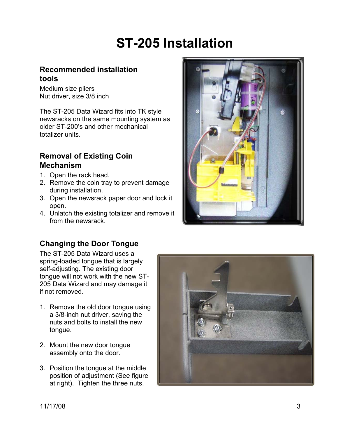# **ST-205 Installation**

### **Recommended installation tools**

Medium size pliers Nut driver, size 3/8 inch

The ST-205 Data Wizard fits into TK style newsracks on the same mounting system as older ST-200's and other mechanical totalizer units.

### **Removal of Existing Coin Mechanism**

- 1. Open the rack head.
- 2. Remove the coin tray to prevent damage during installation.
- 3. Open the newsrack paper door and lock it open.
- 4. Unlatch the existing totalizer and remove it from the newsrack.



# **Changing the Door Tongue**

The ST-205 Data Wizard uses a spring-loaded tongue that is largely self-adjusting. The existing door tongue will not work with the new ST-205 Data Wizard and may damage it if not removed.

- 1. Remove the old door tongue using a 3/8-inch nut driver, saving the nuts and bolts to install the new tongue.
- 2. Mount the new door tongue assembly onto the door.
- 3. Position the tongue at the middle position of adjustment (See figure at right). Tighten the three nuts.

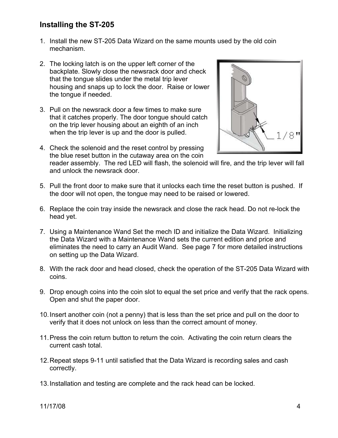### **Installing the ST-205**

- 1. Install the new ST-205 Data Wizard on the same mounts used by the old coin mechanism.
- 2. The locking latch is on the upper left corner of the backplate. Slowly close the newsrack door and check that the tongue slides under the metal trip lever housing and snaps up to lock the door. Raise or lower the tongue if needed.
- 3. Pull on the newsrack door a few times to make sure that it catches properly. The door tongue should catch on the trip lever housing about an eighth of an inch when the trip lever is up and the door is pulled.
- 4. Check the solenoid and the reset control by pressing the blue reset button in the cutaway area on the coin



reader assembly. The red LED will flash, the solenoid will fire, and the trip lever will fall and unlock the newsrack door.

- 5. Pull the front door to make sure that it unlocks each time the reset button is pushed. If the door will not open, the tongue may need to be raised or lowered.
- 6. Replace the coin tray inside the newsrack and close the rack head. Do not re-lock the head yet.
- 7. Using a Maintenance Wand Set the mech ID and initialize the Data Wizard. Initializing the Data Wizard with a Maintenance Wand sets the current edition and price and eliminates the need to carry an Audit Wand. See page 7 for more detailed instructions on setting up the Data Wizard.
- 8. With the rack door and head closed, check the operation of the ST-205 Data Wizard with coins.
- 9. Drop enough coins into the coin slot to equal the set price and verify that the rack opens. Open and shut the paper door.
- 10. Insert another coin (not a penny) that is less than the set price and pull on the door to verify that it does not unlock on less than the correct amount of money.
- 11. Press the coin return button to return the coin. Activating the coin return clears the current cash total.
- 12. Repeat steps 9-11 until satisfied that the Data Wizard is recording sales and cash correctly.
- 13. Installation and testing are complete and the rack head can be locked.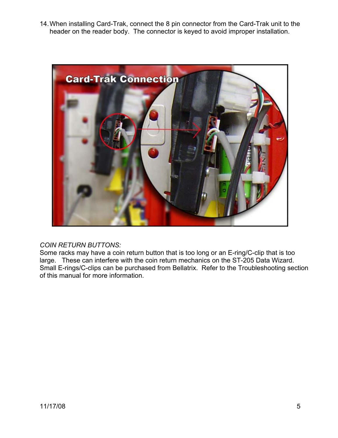14. When installing Card-Trak, connect the 8 pin connector from the Card-Trak unit to the header on the reader body. The connector is keyed to avoid improper installation.



#### *COIN RETURN BUTTONS:*

Some racks may have a coin return button that is too long or an E-ring/C-clip that is too large. These can interfere with the coin return mechanics on the ST-205 Data Wizard. Small E-rings/C-clips can be purchased from Bellatrix. Refer to the Troubleshooting section of this manual for more information.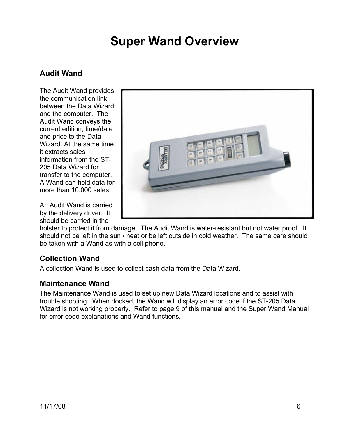# **Super Wand Overview**

### **Audit Wand**

The Audit Wand provides the communication link between the Data Wizard and the computer. The Audit Wand conveys the current edition, time/date and price to the Data Wizard. At the same time, it extracts sales information from the ST-205 Data Wizard for transfer to the computer. A Wand can hold data for more than 10,000 sales.

An Audit Wand is carried by the delivery driver. It should be carried in the



holster to protect it from damage. The Audit Wand is water-resistant but not water proof. It should not be left in the sun / heat or be left outside in cold weather. The same care should be taken with a Wand as with a cell phone.

#### **Collection Wand**

A collection Wand is used to collect cash data from the Data Wizard.

#### **Maintenance Wand**

The Maintenance Wand is used to set up new Data Wizard locations and to assist with trouble shooting. When docked, the Wand will display an error code if the ST-205 Data Wizard is not working properly. Refer to page 9 of this manual and the Super Wand Manual for error code explanations and Wand functions.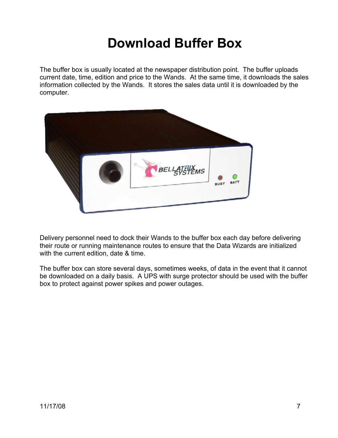# **Download Buffer Box**

The buffer box is usually located at the newspaper distribution point. The buffer uploads current date, time, edition and price to the Wands. At the same time, it downloads the sales information collected by the Wands. It stores the sales data until it is downloaded by the computer.



Delivery personnel need to dock their Wands to the buffer box each day before delivering their route or running maintenance routes to ensure that the Data Wizards are initialized with the current edition, date & time.

The buffer box can store several days, sometimes weeks, of data in the event that it cannot be downloaded on a daily basis. A UPS with surge protector should be used with the buffer box to protect against power spikes and power outages.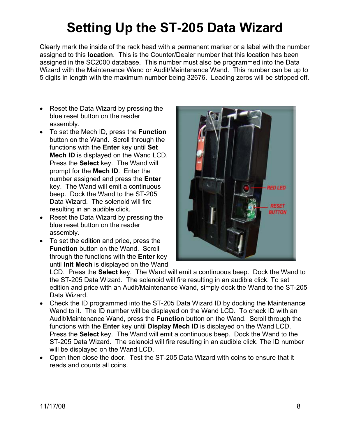# **Setting Up the ST-205 Data Wizard**

Clearly mark the inside of the rack head with a permanent marker or a label with the number assigned to this **location**. This is the Counter/Dealer number that this location has been assigned in the SC2000 database. This number must also be programmed into the Data Wizard with the Maintenance Wand or Audit/Maintenance Wand. This number can be up to 5 digits in length with the maximum number being 32676. Leading zeros will be stripped off.

- Reset the Data Wizard by pressing the blue reset button on the reader assembly.
- To set the Mech ID, press the **Function** button on the Wand. Scroll through the functions with the **Enter** key until **Set Mech ID** is displayed on the Wand LCD. Press the **Select** key. The Wand will prompt for the **Mech ID**. Enter the number assigned and press the **Enter** key. The Wand will emit a continuous beep. Dock the Wand to the ST-205 Data Wizard. The solenoid will fire resulting in an audible click.
- Reset the Data Wizard by pressing the blue reset button on the reader assembly.
- To set the edition and price, press the **Function** button on the Wand. Scroll through the functions with the **Enter** key until **Init Mech** is displayed on the Wand



LCD. Press the **Select** key. The Wand will emit a continuous beep. Dock the Wand to the ST-205 Data Wizard. The solenoid will fire resulting in an audible click. To set edition and price with an Audit/Maintenance Wand, simply dock the Wand to the ST-205 Data Wizard.

- Check the ID programmed into the ST-205 Data Wizard ID by docking the Maintenance Wand to it. The ID number will be displayed on the Wand LCD. To check ID with an Audit/Maintenance Wand, press the **Function** button on the Wand. Scroll through the functions with the **Enter** key until **Display Mech ID** is displayed on the Wand LCD. Press the **Select** key. The Wand will emit a continuous beep. Dock the Wand to the ST-205 Data Wizard. The solenoid will fire resulting in an audible click. The ID number will be displayed on the Wand LCD.
- Open then close the door. Test the ST-205 Data Wizard with coins to ensure that it reads and counts all coins.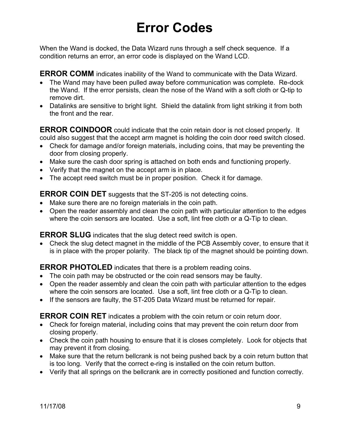# **Error Codes**

When the Wand is docked, the Data Wizard runs through a self check sequence. If a condition returns an error, an error code is displayed on the Wand LCD.

**ERROR COMM** indicates inability of the Wand to communicate with the Data Wizard.

- The Wand may have been pulled away before communication was complete. Re-dock the Wand. If the error persists, clean the nose of the Wand with a soft cloth or Q-tip to remove dirt.
- Datalinks are sensitive to bright light. Shield the datalink from light striking it from both the front and the rear.

**ERROR COINDOOR** could indicate that the coin retain door is not closed properly. It could also suggest that the accept arm magnet is holding the coin door reed switch closed.

- Check for damage and/or foreign materials, including coins, that may be preventing the door from closing properly.
- Make sure the cash door spring is attached on both ends and functioning properly.
- Verify that the magnet on the accept arm is in place.
- The accept reed switch must be in proper position. Check it for damage.

**ERROR COIN DET** suggests that the ST-205 is not detecting coins.

- Make sure there are no foreign materials in the coin path.
- Open the reader assembly and clean the coin path with particular attention to the edges where the coin sensors are located. Use a soft, lint free cloth or a Q-Tip to clean.

**ERROR SLUG** indicates that the slug detect reed switch is open.

• Check the slug detect magnet in the middle of the PCB Assembly cover, to ensure that it is in place with the proper polarity. The black tip of the magnet should be pointing down.

**ERROR PHOTOLED** indicates that there is a problem reading coins.

- The coin path may be obstructed or the coin read sensors may be faulty.
- Open the reader assembly and clean the coin path with particular attention to the edges where the coin sensors are located. Use a soft, lint free cloth or a Q-Tip to clean.
- If the sensors are faulty, the ST-205 Data Wizard must be returned for repair.

**ERROR COIN RET** indicates a problem with the coin return or coin return door.

- Check for foreign material, including coins that may prevent the coin return door from closing properly.
- Check the coin path housing to ensure that it is closes completely. Look for objects that may prevent it from closing.
- Make sure that the return bellcrank is not being pushed back by a coin return button that is too long. Verify that the correct e-ring is installed on the coin return button.
- Verify that all springs on the bellcrank are in correctly positioned and function correctly.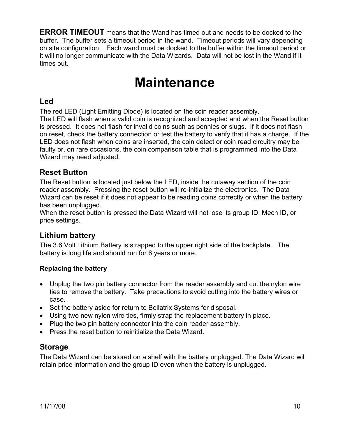**ERROR TIMEOUT** means that the Wand has timed out and needs to be docked to the buffer. The buffer sets a timeout period in the wand. Timeout periods will vary depending on site configuration. Each wand must be docked to the buffer within the timeout period or it will no longer communicate with the Data Wizards. Data will not be lost in the Wand if it times out.

# **Maintenance**

#### **Led**

The red LED (Light Emitting Diode) is located on the coin reader assembly. The LED will flash when a valid coin is recognized and accepted and when the Reset button is pressed. It does not flash for invalid coins such as pennies or slugs. If it does not flash on reset, check the battery connection or test the battery to verify that it has a charge. If the LED does not flash when coins are inserted, the coin detect or coin read circuitry may be faulty or, on rare occasions, the coin comparison table that is programmed into the Data Wizard may need adjusted.

### **Reset Button**

The Reset button is located just below the LED, inside the cutaway section of the coin reader assembly. Pressing the reset button will re-initialize the electronics. The Data Wizard can be reset if it does not appear to be reading coins correctly or when the battery has been unplugged.

When the reset button is pressed the Data Wizard will not lose its group ID, Mech ID, or price settings.

# **Lithium battery**

The 3.6 Volt Lithium Battery is strapped to the upper right side of the backplate. The battery is long life and should run for 6 years or more.

#### **Replacing the battery**

- Unplug the two pin battery connector from the reader assembly and cut the nylon wire ties to remove the battery. Take precautions to avoid cutting into the battery wires or case.
- Set the battery aside for return to Bellatrix Systems for disposal.
- Using two new nylon wire ties, firmly strap the replacement battery in place.
- Plug the two pin battery connector into the coin reader assembly.
- Press the reset button to reinitialize the Data Wizard.

#### **Storage**

The Data Wizard can be stored on a shelf with the battery unplugged. The Data Wizard will retain price information and the group ID even when the battery is unplugged.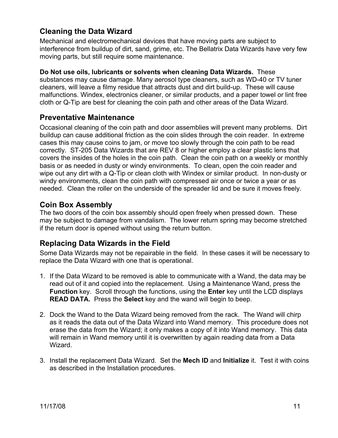# **Cleaning the Data Wizard**

Mechanical and electromechanical devices that have moving parts are subject to interference from buildup of dirt, sand, grime, etc. The Bellatrix Data Wizards have very few moving parts, but still require some maintenance.

**Do Not use oils, lubricants or solvents when cleaning Data Wizards.** These substances may cause damage. Many aerosol type cleaners, such as WD-40 or TV tuner cleaners, will leave a filmy residue that attracts dust and dirt build-up. These will cause malfunctions. Windex, electronics cleaner, or similar products, and a paper towel or lint free cloth or Q-Tip are best for cleaning the coin path and other areas of the Data Wizard.

#### **Preventative Maintenance**

Occasional cleaning of the coin path and door assemblies will prevent many problems. Dirt buildup can cause additional friction as the coin slides through the coin reader. In extreme cases this may cause coins to jam, or move too slowly through the coin path to be read correctly. ST-205 Data Wizards that are REV 8 or higher employ a clear plastic lens that covers the insides of the holes in the coin path. Clean the coin path on a weekly or monthly basis or as needed in dusty or windy environments. To clean, open the coin reader and wipe out any dirt with a Q-Tip or clean cloth with Windex or similar product. In non-dusty or windy environments, clean the coin path with compressed air once or twice a year or as needed. Clean the roller on the underside of the spreader lid and be sure it moves freely.

#### **Coin Box Assembly**

The two doors of the coin box assembly should open freely when pressed down. These may be subject to damage from vandalism. The lower return spring may become stretched if the return door is opened without using the return button.

#### **Replacing Data Wizards in the Field**

Some Data Wizards may not be repairable in the field. In these cases it will be necessary to replace the Data Wizard with one that is operational.

- 1. If the Data Wizard to be removed is able to communicate with a Wand, the data may be read out of it and copied into the replacement. Using a Maintenance Wand, press the **Function** key. Scroll through the functions, using the **Enter** key until the LCD displays **READ DATA.** Press the **Select** key and the wand will begin to beep.
- 2. Dock the Wand to the Data Wizard being removed from the rack. The Wand will chirp as it reads the data out of the Data Wizard into Wand memory. This procedure does not erase the data from the Wizard; it only makes a copy of it into Wand memory. This data will remain in Wand memory until it is overwritten by again reading data from a Data Wizard.
- 3. Install the replacement Data Wizard. Set the **Mech ID** and **Initialize** it. Test it with coins as described in the Installation procedures.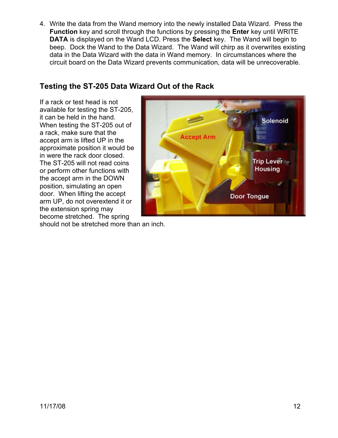4. Write the data from the Wand memory into the newly installed Data Wizard. Press the **Function** key and scroll through the functions by pressing the **Enter** key until WRITE **DATA** is displayed on the Wand LCD. Press the **Select** key. The Wand will begin to beep. Dock the Wand to the Data Wizard. The Wand will chirp as it overwrites existing data in the Data Wizard with the data in Wand memory. In circumstances where the circuit board on the Data Wizard prevents communication, data will be unrecoverable.

### **Testing the ST-205 Data Wizard Out of the Rack**

If a rack or test head is not available for testing the ST-205, it can be held in the hand. When testing the ST-205 out of a rack, make sure that the accept arm is lifted UP in the approximate position it would be in were the rack door closed. The ST-205 will not read coins or perform other functions with the accept arm in the DOWN position, simulating an open door. When lifting the accept arm UP, do not overextend it or the extension spring may become stretched. The spring



should not be stretched more than an inch.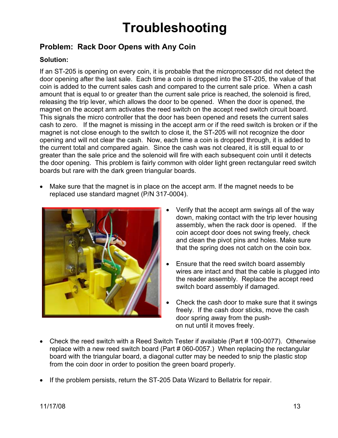# **Troubleshooting**

# **Problem: Rack Door Opens with Any Coin**

#### **Solution:**

If an ST-205 is opening on every coin, it is probable that the microprocessor did not detect the door opening after the last sale. Each time a coin is dropped into the ST-205, the value of that coin is added to the current sales cash and compared to the current sale price. When a cash amount that is equal to or greater than the current sale price is reached, the solenoid is fired, releasing the trip lever, which allows the door to be opened. When the door is opened, the magnet on the accept arm activates the reed switch on the accept reed switch circuit board. This signals the micro controller that the door has been opened and resets the current sales cash to zero. If the magnet is missing in the accept arm or if the reed switch is broken or if the magnet is not close enough to the switch to close it, the ST-205 will not recognize the door opening and will not clear the cash. Now, each time a coin is dropped through, it is added to the current total and compared again. Since the cash was not cleared, it is still equal to or greater than the sale price and the solenoid will fire with each subsequent coin until it detects the door opening. This problem is fairly common with older light green rectangular reed switch boards but rare with the dark green triangular boards.

• Make sure that the magnet is in place on the accept arm. If the magnet needs to be replaced use standard magnet (P/N 317-0004).



- Verify that the accept arm swings all of the way down, making contact with the trip lever housing assembly, when the rack door is opened. If the coin accept door does not swing freely, check and clean the pivot pins and holes. Make sure that the spring does not catch on the coin box.
- Ensure that the reed switch board assembly wires are intact and that the cable is plugged into the reader assembly. Replace the accept reed switch board assembly if damaged.
- Check the cash door to make sure that it swings freely. If the cash door sticks, move the cash door spring away from the push on nut until it moves freely.
- Check the reed switch with a Reed Switch Tester if available (Part # 100-0077). Otherwise replace with a new reed switch board (Part # 060-0057.) When replacing the rectangular board with the triangular board, a diagonal cutter may be needed to snip the plastic stop from the coin door in order to position the green board properly.
- If the problem persists, return the ST-205 Data Wizard to Bellatrix for repair.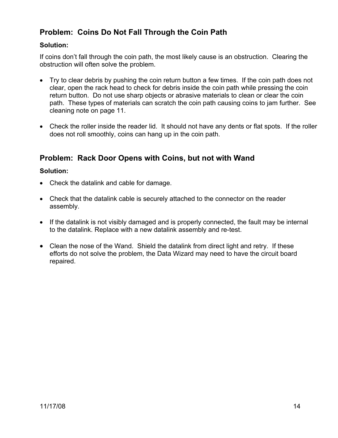# **Problem: Coins Do Not Fall Through the Coin Path**

#### **Solution:**

If coins don't fall through the coin path, the most likely cause is an obstruction. Clearing the obstruction will often solve the problem.

- Try to clear debris by pushing the coin return button a few times. If the coin path does not clear, open the rack head to check for debris inside the coin path while pressing the coin return button. Do not use sharp objects or abrasive materials to clean or clear the coin path. These types of materials can scratch the coin path causing coins to jam further. See cleaning note on page 11.
- Check the roller inside the reader lid. It should not have any dents or flat spots. If the roller does not roll smoothly, coins can hang up in the coin path.

#### **Problem: Rack Door Opens with Coins, but not with Wand**

#### **Solution:**

- Check the datalink and cable for damage.
- Check that the datalink cable is securely attached to the connector on the reader assembly.
- If the datalink is not visibly damaged and is properly connected, the fault may be internal to the datalink. Replace with a new datalink assembly and re-test.
- Clean the nose of the Wand. Shield the datalink from direct light and retry. If these efforts do not solve the problem, the Data Wizard may need to have the circuit board repaired.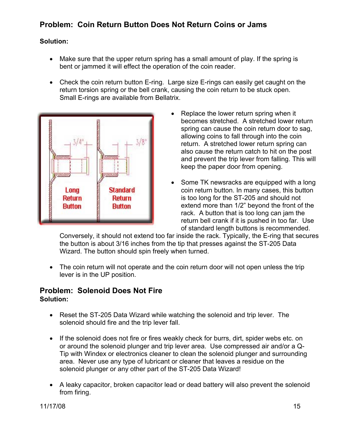# **Problem: Coin Return Button Does Not Return Coins or Jams**

#### **Solution:**

- Make sure that the upper return spring has a small amount of play. If the spring is bent or jammed it will effect the operation of the coin reader.
- Check the coin return button E-ring. Large size E-rings can easily get caught on the return torsion spring or the bell crank, causing the coin return to be stuck open. Small E-rings are available from Bellatrix.



- Replace the lower return spring when it becomes stretched. A stretched lower return spring can cause the coin return door to sag, allowing coins to fall through into the coin return. A stretched lower return spring can also cause the return catch to hit on the post and prevent the trip lever from falling. This will keep the paper door from opening.
- Some TK newsracks are equipped with a long coin return button. In many cases, this button is too long for the ST-205 and should not extend more than 1/2" beyond the front of the rack. A button that is too long can jam the return bell crank if it is pushed in too far. Use of standard length buttons is recommended.

Conversely, it should not extend too far inside the rack. Typically, the E-ring that secures the button is about 3/16 inches from the tip that presses against the ST-205 Data Wizard. The button should spin freely when turned.

• The coin return will not operate and the coin return door will not open unless the trip lever is in the UP position.

#### **Problem: Solenoid Does Not Fire Solution:**

- Reset the ST-205 Data Wizard while watching the solenoid and trip lever. The solenoid should fire and the trip lever fall.
- If the solenoid does not fire or fires weakly check for burrs, dirt, spider webs etc. on or around the solenoid plunger and trip lever area. Use compressed air and/or a Q-Tip with Windex or electronics cleaner to clean the solenoid plunger and surrounding area. Never use any type of lubricant or cleaner that leaves a residue on the solenoid plunger or any other part of the ST-205 Data Wizard!
- A leaky capacitor, broken capacitor lead or dead battery will also prevent the solenoid from firing.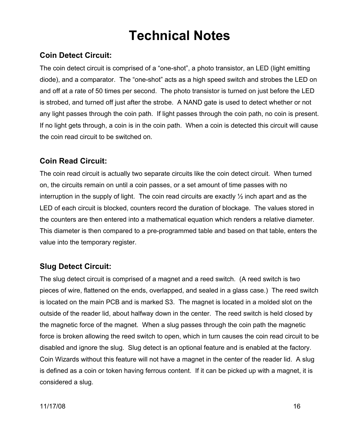# **Technical Notes**

# **Coin Detect Circuit:**

The coin detect circuit is comprised of a "one-shot", a photo transistor, an LED (light emitting diode), and a comparator. The "one-shot" acts as a high speed switch and strobes the LED on and off at a rate of 50 times per second. The photo transistor is turned on just before the LED is strobed, and turned off just after the strobe. A NAND gate is used to detect whether or not any light passes through the coin path. If light passes through the coin path, no coin is present. If no light gets through, a coin is in the coin path. When a coin is detected this circuit will cause the coin read circuit to be switched on.

#### **Coin Read Circuit:**

The coin read circuit is actually two separate circuits like the coin detect circuit. When turned on, the circuits remain on until a coin passes, or a set amount of time passes with no interruption in the supply of light. The coin read circuits are exactly  $\frac{1}{2}$  inch apart and as the LED of each circuit is blocked, counters record the duration of blockage. The values stored in the counters are then entered into a mathematical equation which renders a relative diameter. This diameter is then compared to a pre-programmed table and based on that table, enters the value into the temporary register.

#### **Slug Detect Circuit:**

The slug detect circuit is comprised of a magnet and a reed switch. (A reed switch is two pieces of wire, flattened on the ends, overlapped, and sealed in a glass case.) The reed switch is located on the main PCB and is marked S3. The magnet is located in a molded slot on the outside of the reader lid, about halfway down in the center. The reed switch is held closed by the magnetic force of the magnet. When a slug passes through the coin path the magnetic force is broken allowing the reed switch to open, which in turn causes the coin read circuit to be disabled and ignore the slug. Slug detect is an optional feature and is enabled at the factory. Coin Wizards without this feature will not have a magnet in the center of the reader lid. A slug is defined as a coin or token having ferrous content. If it can be picked up with a magnet, it is considered a slug.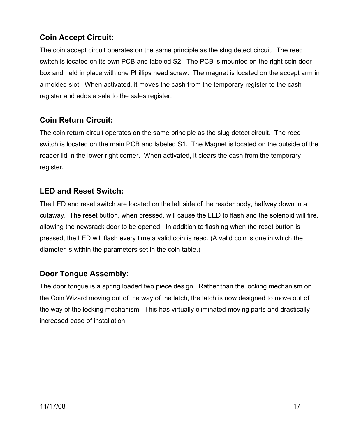# **Coin Accept Circuit:**

The coin accept circuit operates on the same principle as the slug detect circuit. The reed switch is located on its own PCB and labeled S2. The PCB is mounted on the right coin door box and held in place with one Phillips head screw. The magnet is located on the accept arm in a molded slot. When activated, it moves the cash from the temporary register to the cash register and adds a sale to the sales register.

### **Coin Return Circuit:**

The coin return circuit operates on the same principle as the slug detect circuit. The reed switch is located on the main PCB and labeled S1. The Magnet is located on the outside of the reader lid in the lower right corner. When activated, it clears the cash from the temporary register.

#### **LED and Reset Switch:**

The LED and reset switch are located on the left side of the reader body, halfway down in a cutaway. The reset button, when pressed, will cause the LED to flash and the solenoid will fire, allowing the newsrack door to be opened. In addition to flashing when the reset button is pressed, the LED will flash every time a valid coin is read. (A valid coin is one in which the diameter is within the parameters set in the coin table.)

#### **Door Tongue Assembly:**

The door tongue is a spring loaded two piece design. Rather than the locking mechanism on the Coin Wizard moving out of the way of the latch, the latch is now designed to move out of the way of the locking mechanism. This has virtually eliminated moving parts and drastically increased ease of installation.